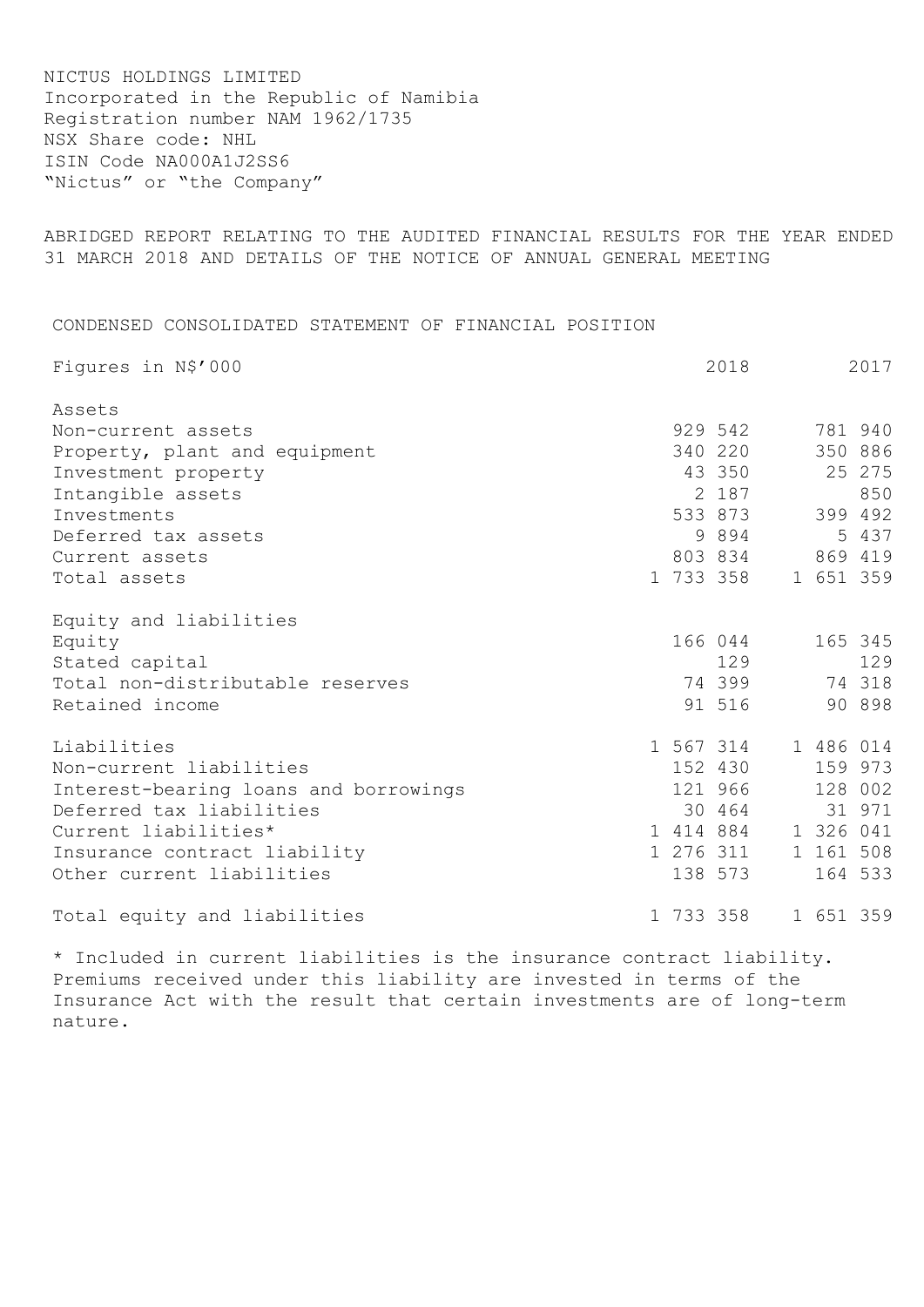NICTUS HOLDINGS LIMITED Incorporated in the Republic of Namibia Registration number NAM 1962/1735 NSX Share code: NHL ISIN Code NA000A1J2SS6 "Nictus" or "the Company"

ABRIDGED REPORT RELATING TO THE AUDITED FINANCIAL RESULTS FOR THE YEAR ENDED 31 MARCH 2018 AND DETAILS OF THE NOTICE OF ANNUAL GENERAL MEETING

CONDENSED CONSOLIDATED STATEMENT OF FINANCIAL POSITION

| Figures in N\$'000                    | 2018 |           | 2017      |         |
|---------------------------------------|------|-----------|-----------|---------|
| Assets                                |      |           |           |         |
| Non-current assets                    |      | 929 542   |           | 781 940 |
| Property, plant and equipment         |      | 340 220   |           | 350 886 |
| Investment property                   |      | 43 350    |           | 25 275  |
| Intangible assets                     |      | 2 187     |           | 850     |
| Investments                           |      | 533 873   |           | 399 492 |
| Deferred tax assets                   |      | 9 8 9 4   |           | 5 437   |
| Current assets                        |      | 803 834   |           | 869 419 |
| Total assets                          |      | 1 733 358 | 1 651 359 |         |
| Equity and liabilities                |      |           |           |         |
| Equity                                |      | 166 044   |           | 165 345 |
| Stated capital                        |      | 129       |           | 129     |
| Total non-distributable reserves      |      | 74 399    | 74 318    |         |
| Retained income                       |      | 91 516    |           | 90 898  |
| Liabilities                           |      | 1 567 314 | 1 486 014 |         |
| Non-current liabilities               |      | 152 430   |           | 159 973 |
| Interest-bearing loans and borrowings |      | 121 966   |           | 128 002 |
| Deferred tax liabilities              |      | 30 464    |           | 31 971  |
| Current liabilities*                  |      | 1 414 884 | 1 326 041 |         |
| Insurance contract liability          |      | 1 276 311 | 1 161 508 |         |
| Other current liabilities             |      | 138 573   |           | 164 533 |
| Total equity and liabilities          |      | 1 733 358 | 1 651 359 |         |

\* Included in current liabilities is the insurance contract liability. Premiums received under this liability are invested in terms of the Insurance Act with the result that certain investments are of long-term nature.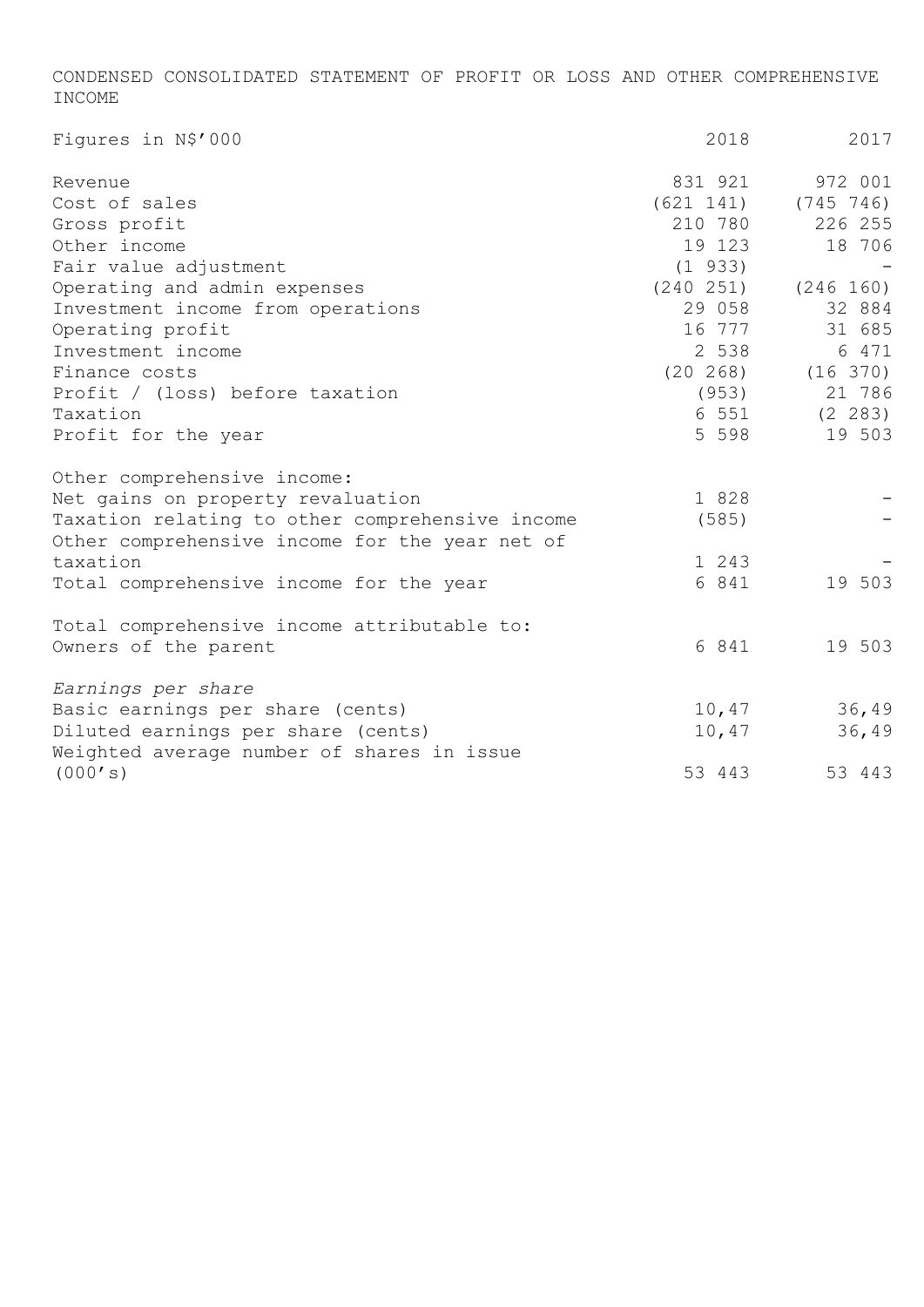CONDENSED CONSOLIDATED STATEMENT OF PROFIT OR LOSS AND OTHER COMPREHENSIVE INCOME

| Figures in N\$'000                              | 2018         | 2017                      |
|-------------------------------------------------|--------------|---------------------------|
| Revenue                                         | 831 921      | 972 001                   |
| Cost of sales                                   |              | $(621 141)$ $(745 746)$   |
| Gross profit                                    | 210 780      | 226 255                   |
| Other income                                    | 19 123       | 18 706                    |
| Fair value adjustment                           | $(1\ \ 933)$ |                           |
| Operating and admin expenses                    |              | $(240 251)$ $(246 160)$   |
| Investment income from operations               | 29 058       | 32 884                    |
| Operating profit                                | 16 777       | 31 685                    |
| Investment income                               | 2 538        | 6 471                     |
| Finance costs                                   |              | $(20 \t268)$ $(16 \t370)$ |
| Profit / (loss) before taxation                 | (953)        | 21 786                    |
| Taxation                                        |              | 6 551 (2 283)             |
| Profit for the year                             | 5 5 9 8      | 19 503                    |
| Other comprehensive income:                     |              |                           |
| Net gains on property revaluation               | 1 828        |                           |
| Taxation relating to other comprehensive income | (585)        |                           |
| Other comprehensive income for the year net of  |              |                           |
| taxation                                        | 1 243        |                           |
| Total comprehensive income for the year         | 6 841        | 19 503                    |
| Total comprehensive income attributable to:     |              |                           |
| Owners of the parent                            | 6 841        | 19 503                    |
| Earnings per share                              |              |                           |
| Basic earnings per share (cents)                |              | 10,47 36,49               |
| Diluted earnings per share (cents)              | 10,47        | 36,49                     |
| Weighted average number of shares in issue      |              |                           |
| (000's)                                         | 53 443       | 53 443                    |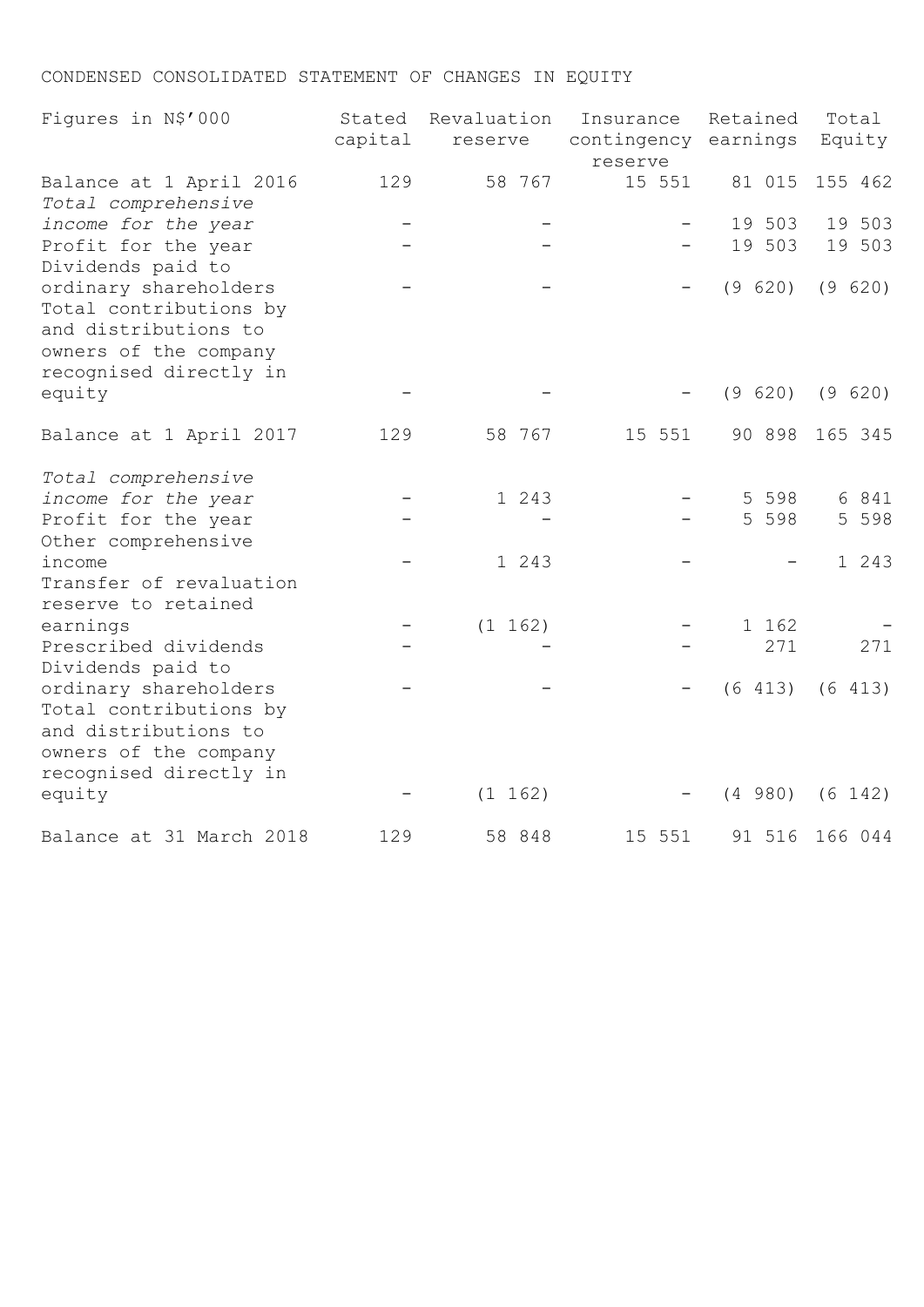# CONDENSED CONSOLIDATED STATEMENT OF CHANGES IN EQUITY

| Figures in N\$'000                                                                                                         | Stated<br>capital | Revaluation<br>reserve | Insurance<br>contingency earnings | Retained | Total<br>Equity |
|----------------------------------------------------------------------------------------------------------------------------|-------------------|------------------------|-----------------------------------|----------|-----------------|
| Balance at 1 April 2016<br>Total comprehensive                                                                             | 129               | 58 767                 | reserve<br>15 551                 | 81 015   | 155 462         |
| income for the year                                                                                                        |                   |                        |                                   | 19 503   | 19 503          |
| Profit for the year<br>Dividends paid to                                                                                   |                   |                        |                                   | 19 503   | 19 503          |
| ordinary shareholders<br>Total contributions by<br>and distributions to<br>owners of the company<br>recognised directly in |                   |                        |                                   | (9 620)  | (9 620)         |
| equity                                                                                                                     |                   |                        |                                   | (9 620)  | (9 620)         |
| Balance at 1 April 2017                                                                                                    | 129               | 58 767                 | 15 551                            | 90 898   | 165 345         |
| Total comprehensive                                                                                                        |                   |                        |                                   |          |                 |
| income for the year                                                                                                        |                   | 1 243                  |                                   | 5 5 9 8  | 6 841           |
| Profit for the year<br>Other comprehensive                                                                                 |                   |                        |                                   | 5 5 9 8  | 5 5 9 8         |
| income                                                                                                                     |                   | 1 243                  |                                   |          | 1 243           |
| Transfer of revaluation<br>reserve to retained                                                                             |                   |                        |                                   |          |                 |
| earnings                                                                                                                   |                   | (1 162)                |                                   | 1 162    |                 |
| Prescribed dividends<br>Dividends paid to                                                                                  |                   |                        |                                   | 271      | 271             |
| ordinary shareholders<br>Total contributions by<br>and distributions to<br>owners of the company<br>recognised directly in |                   |                        |                                   | (6 413)  | (6 413)         |
| equity                                                                                                                     |                   | (1 162)                |                                   | (4 980)  | (6 142)         |
| Balance at 31 March 2018                                                                                                   | 129               | 58 848                 | 15 551                            | 91 516   | 166 044         |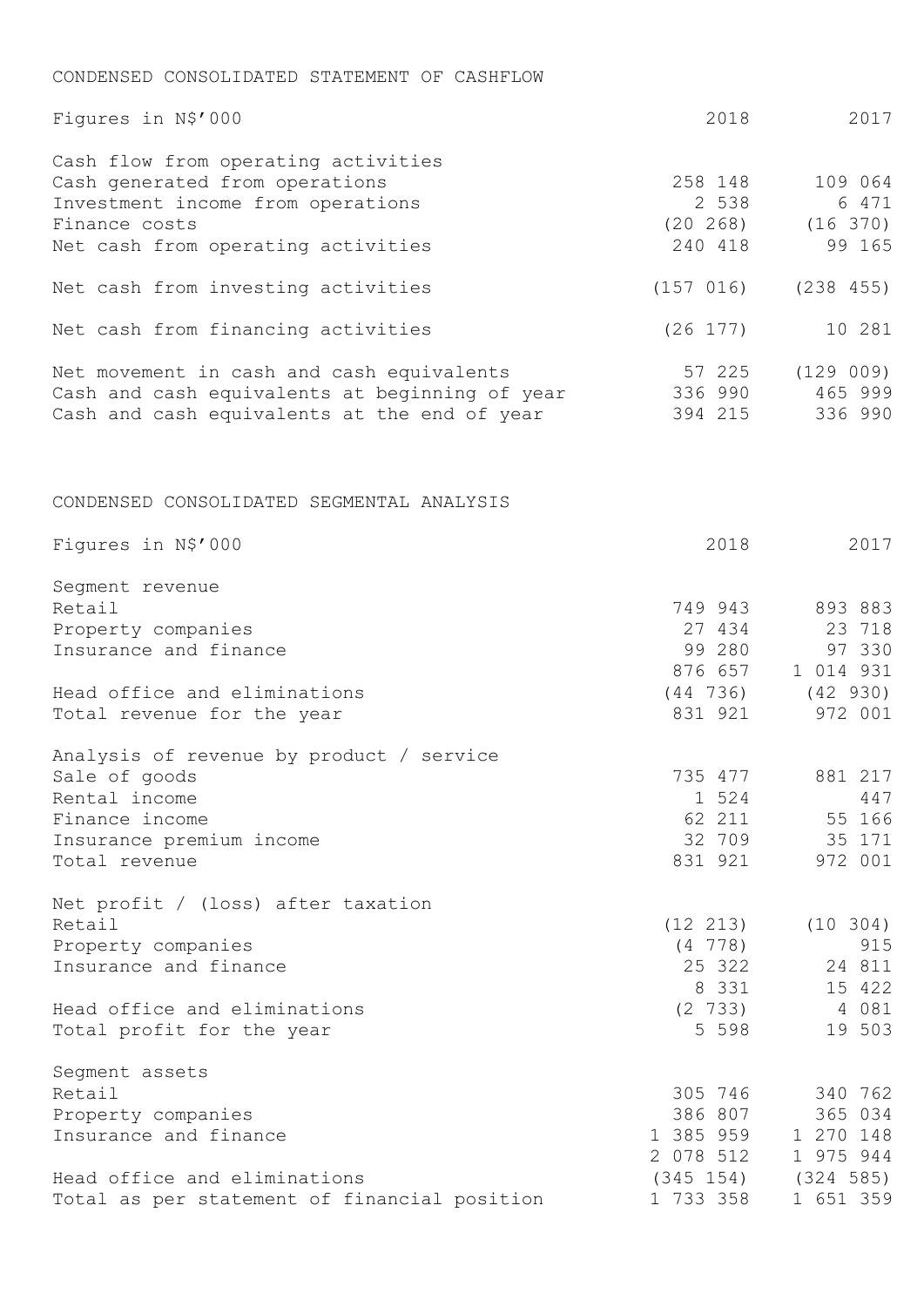## CONDENSED CONSOLIDATED STATEMENT OF CASHFLOW

| Figures in N\$'000                                                                                                                                                | 2018                                                      | 2017                                                                    |
|-------------------------------------------------------------------------------------------------------------------------------------------------------------------|-----------------------------------------------------------|-------------------------------------------------------------------------|
| Cash flow from operating activities<br>Cash generated from operations<br>Investment income from operations<br>Finance costs<br>Net cash from operating activities | 258 148<br>2 538<br>240 418                               | 109 064<br>6 471<br>$(20 \t268)$ $(16 \t370)$<br>99 165                 |
| Net cash from investing activities                                                                                                                                | (157 016)                                                 | (238 455)                                                               |
| Net cash from financing activities                                                                                                                                | $(26\;177)$                                               | 10 281                                                                  |
| Net movement in cash and cash equivalents<br>Cash and cash equivalents at beginning of year<br>Cash and cash equivalents at the end of year                       | 57 225<br>336 990<br>394 215                              | (129009)<br>465 999<br>336 990                                          |
| CONDENSED CONSOLIDATED SEGMENTAL ANALYSIS                                                                                                                         |                                                           |                                                                         |
| Figures in N\$'000                                                                                                                                                | 2018                                                      | 2017                                                                    |
| Segment revenue<br>Retail<br>Property companies<br>Insurance and finance                                                                                          | 749 943<br>27 434<br>99 280<br>876 657                    | 893 883<br>23 718<br>97 330<br>1 014 931                                |
| Head office and eliminations<br>Total revenue for the year                                                                                                        | 831 921                                                   | $(44 736)$ $(42 930)$<br>972 001                                        |
| Analysis of revenue by product / service<br>Sale of goods<br>Rental income<br>Finance income<br>Insurance premium income<br>Total revenue                         | 735 477<br>1 524<br>62 211<br>831 921                     | 881 217<br>447<br>55 166<br>32 709 35 171<br>972 001                    |
| Net profit $/$ (loss) after taxation<br>Retail<br>Property companies<br>Insurance and finance<br>Head office and eliminations                                     | (12 213)<br>$(4\ 778)$<br>25 322<br>8 331<br>$(2 \t 733)$ | $(10 \t304)$<br>915<br>24 811<br>15 422<br>4 081                        |
| Total profit for the year                                                                                                                                         | 5 5 9 8                                                   | 19 503                                                                  |
| Segment assets<br>Retail<br>Property companies<br>Insurance and finance<br>Head office and eliminations                                                           | 305 746<br>386 807<br>1 385 959<br>2 078 512              | 340 762<br>365 034<br>1 270 148<br>1 975 944<br>$(345 154)$ $(324 585)$ |
| Total as per statement of financial position                                                                                                                      | 1 733 358                                                 | 1 651 359                                                               |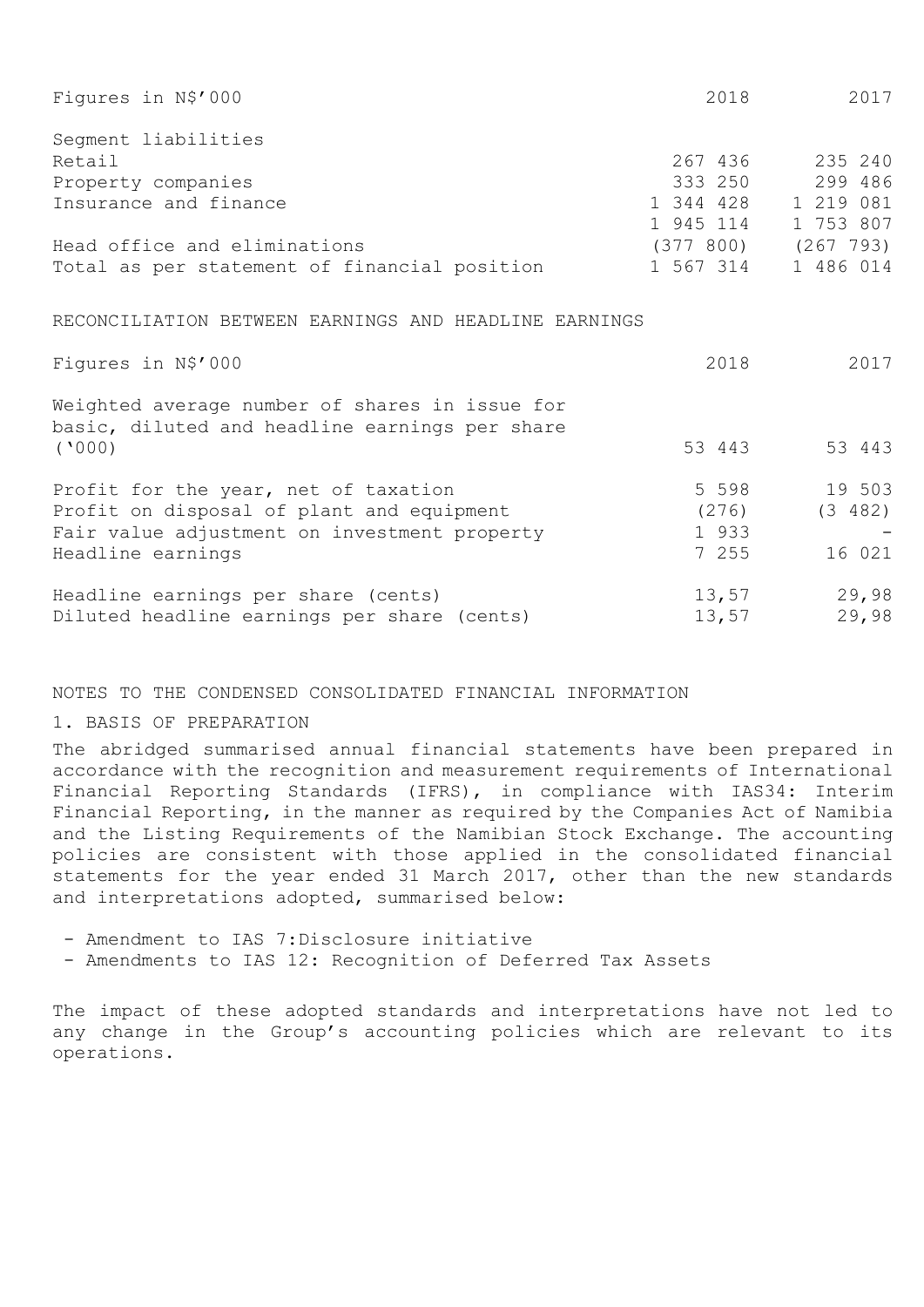| Figures in N\$'000                                    | 2018      | 2017                    |
|-------------------------------------------------------|-----------|-------------------------|
| Segment liabilities                                   |           |                         |
| Retail                                                | 267 436   | 235 240                 |
| Property companies                                    | 333 250   | 299 486                 |
| Insurance and finance                                 | 1 344 428 | 1 219 081               |
|                                                       | 1 945 114 | 1 753 807               |
| Head office and eliminations                          |           | $(377 800)$ $(267 793)$ |
| Total as per statement of financial position          | 1 567 314 | 1 486 014               |
|                                                       |           |                         |
| RECONCILIATION BETWEEN EARNINGS AND HEADLINE EARNINGS |           |                         |
| Figures in N\$'000                                    | 2018      | 2017                    |
| Weighted average number of shares in issue for        |           |                         |
| basic, diluted and headline earnings per share        |           |                         |
| (1000)                                                | 53 443    | 53 443                  |
| Profit for the year, net of taxation                  | 5 5 9 8   | 19 503                  |
| Profit on disposal of plant and equipment             | (276)     | (3 482)                 |
|                                                       |           |                         |
| Fair value adjustment on investment property          | 1 933     |                         |
| Headline earnings                                     | 7 255     | 16 021                  |
| Headline earnings per share (cents)                   | 13,57     | 29,98                   |
| Diluted headline earnings per share (cents)           | 13,57     | 29,98                   |

## NOTES TO THE CONDENSED CONSOLIDATED FINANCIAL INFORMATION

## 1. BASIS OF PREPARATION

The abridged summarised annual financial statements have been prepared in accordance with the recognition and measurement requirements of International Financial Reporting Standards (IFRS), in compliance with IAS34: Interim Financial Reporting, in the manner as required by the Companies Act of Namibia and the Listing Requirements of the Namibian Stock Exchange. The accounting policies are consistent with those applied in the consolidated financial statements for the year ended 31 March 2017, other than the new standards and interpretations adopted, summarised below:

- Amendment to IAS 7:Disclosure initiative
- Amendments to IAS 12: Recognition of Deferred Tax Assets

The impact of these adopted standards and interpretations have not led to any change in the Group's accounting policies which are relevant to its operations.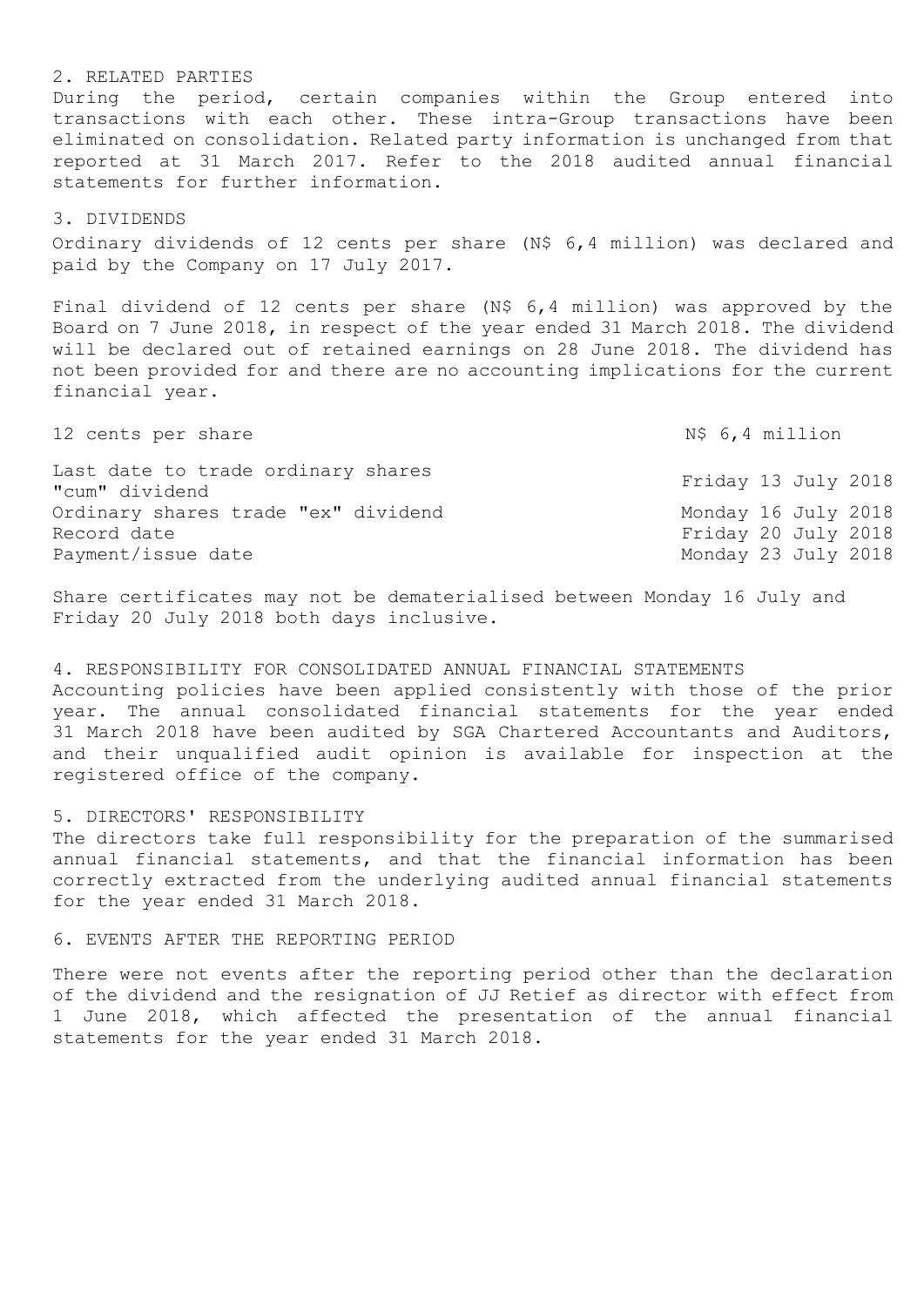2. RELATED PARTIES During the period, certain companies within the Group entered into transactions with each other. These intra-Group transactions have been eliminated on consolidation. Related party information is unchanged from that reported at 31 March 2017. Refer to the 2018 audited annual financial statements for further information.

## 3. DIVIDENDS

Ordinary dividends of 12 cents per share (N\$ 6,4 million) was declared and paid by the Company on 17 July 2017.

Final dividend of 12 cents per share (N\$ 6,4 million) was approved by the Board on 7 June 2018, in respect of the year ended 31 March 2018. The dividend will be declared out of retained earnings on 28 June 2018. The dividend has not been provided for and there are no accounting implications for the current financial year.

| 12 cents per share                                   | N\$ 6,4 million     |  |  |  |  |
|------------------------------------------------------|---------------------|--|--|--|--|
| Last date to trade ordinary shares<br>"cum" dividend | Friday 13 July 2018 |  |  |  |  |
| Ordinary shares trade "ex" dividend                  | Monday 16 July 2018 |  |  |  |  |
| Record date                                          | Friday 20 July 2018 |  |  |  |  |
| Payment/issue date                                   | Monday 23 July 2018 |  |  |  |  |

Share certificates may not be dematerialised between Monday 16 July and Friday 20 July 2018 both days inclusive.

4. RESPONSIBILITY FOR CONSOLIDATED ANNUAL FINANCIAL STATEMENTS Accounting policies have been applied consistently with those of the prior year. The annual consolidated financial statements for the year ended 31 March 2018 have been audited by SGA Chartered Accountants and Auditors, and their unqualified audit opinion is available for inspection at the registered office of the company.

## 5. DIRECTORS' RESPONSIBILITY

The directors take full responsibility for the preparation of the summarised annual financial statements, and that the financial information has been correctly extracted from the underlying audited annual financial statements for the year ended 31 March 2018.

6. EVENTS AFTER THE REPORTING PERIOD

There were not events after the reporting period other than the declaration of the dividend and the resignation of JJ Retief as director with effect from 1 June 2018, which affected the presentation of the annual financial statements for the year ended 31 March 2018.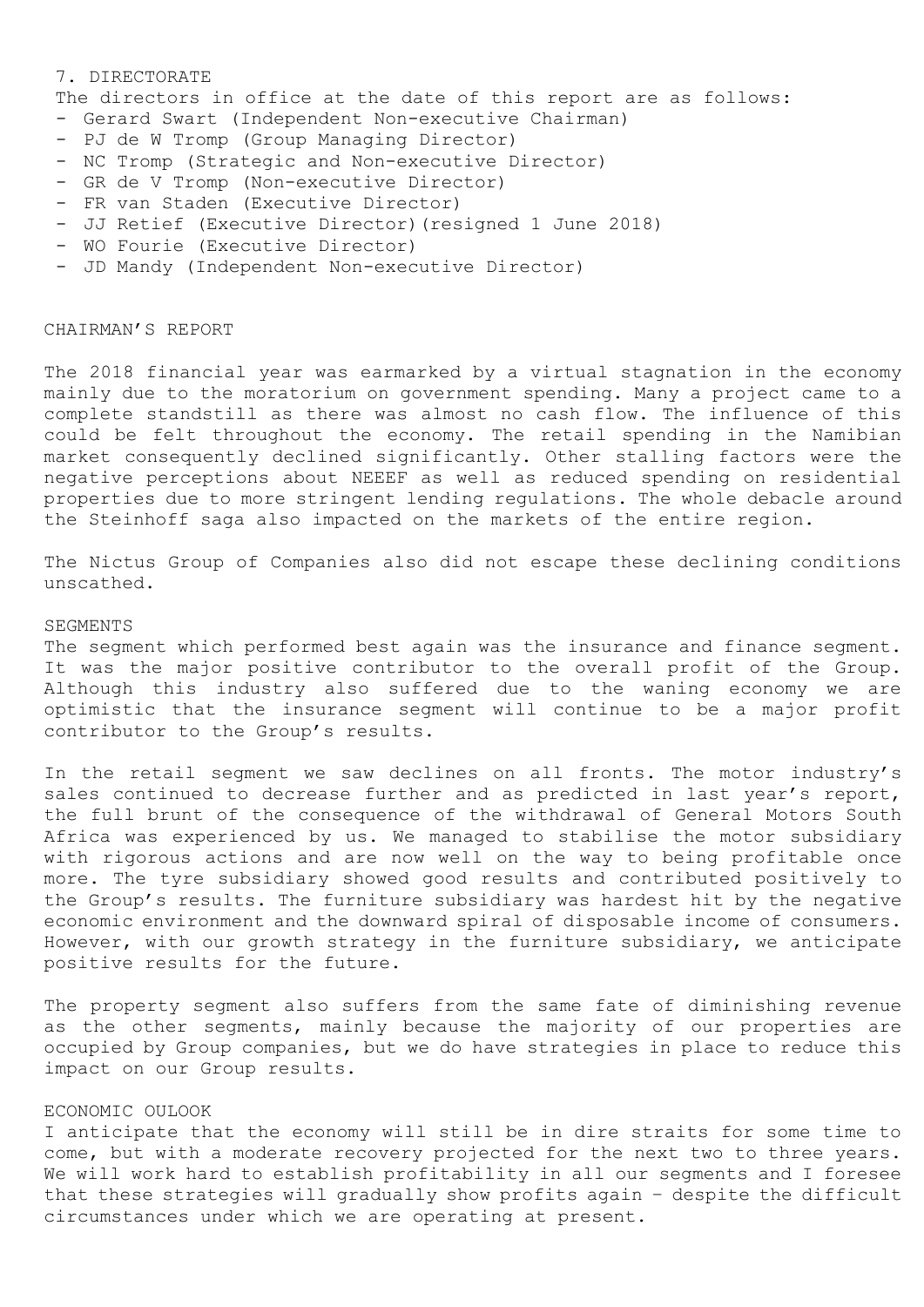#### 7. DIRECTORATE

The directors in office at the date of this report are as follows:

- Gerard Swart (Independent Non-executive Chairman)
- PJ de W Tromp (Group Managing Director)
- NC Tromp (Strategic and Non-executive Director)
- GR de V Tromp (Non-executive Director)
- FR van Staden (Executive Director)
- JJ Retief (Executive Director)(resigned 1 June 2018)
- WO Fourie (Executive Director)
- JD Mandy (Independent Non-executive Director)

#### CHAIRMAN'S REPORT

The 2018 financial year was earmarked by a virtual stagnation in the economy mainly due to the moratorium on government spending. Many a project came to a complete standstill as there was almost no cash flow. The influence of this could be felt throughout the economy. The retail spending in the Namibian market consequently declined significantly. Other stalling factors were the negative perceptions about NEEEF as well as reduced spending on residential properties due to more stringent lending regulations. The whole debacle around the Steinhoff saga also impacted on the markets of the entire region.

The Nictus Group of Companies also did not escape these declining conditions unscathed.

#### SEGMENTS

The segment which performed best again was the insurance and finance segment. It was the major positive contributor to the overall profit of the Group. Although this industry also suffered due to the waning economy we are optimistic that the insurance segment will continue to be a major profit contributor to the Group's results.

In the retail segment we saw declines on all fronts. The motor industry's sales continued to decrease further and as predicted in last year's report, the full brunt of the consequence of the withdrawal of General Motors South Africa was experienced by us. We managed to stabilise the motor subsidiary with rigorous actions and are now well on the way to being profitable once more. The tyre subsidiary showed good results and contributed positively to the Group's results. The furniture subsidiary was hardest hit by the negative economic environment and the downward spiral of disposable income of consumers. However, with our growth strategy in the furniture subsidiary, we anticipate positive results for the future.

The property segment also suffers from the same fate of diminishing revenue as the other segments, mainly because the majority of our properties are occupied by Group companies, but we do have strategies in place to reduce this impact on our Group results.

## ECONOMIC OULOOK

I anticipate that the economy will still be in dire straits for some time to come, but with a moderate recovery projected for the next two to three years. We will work hard to establish profitability in all our segments and I foresee that these strategies will gradually show profits again – despite the difficult circumstances under which we are operating at present.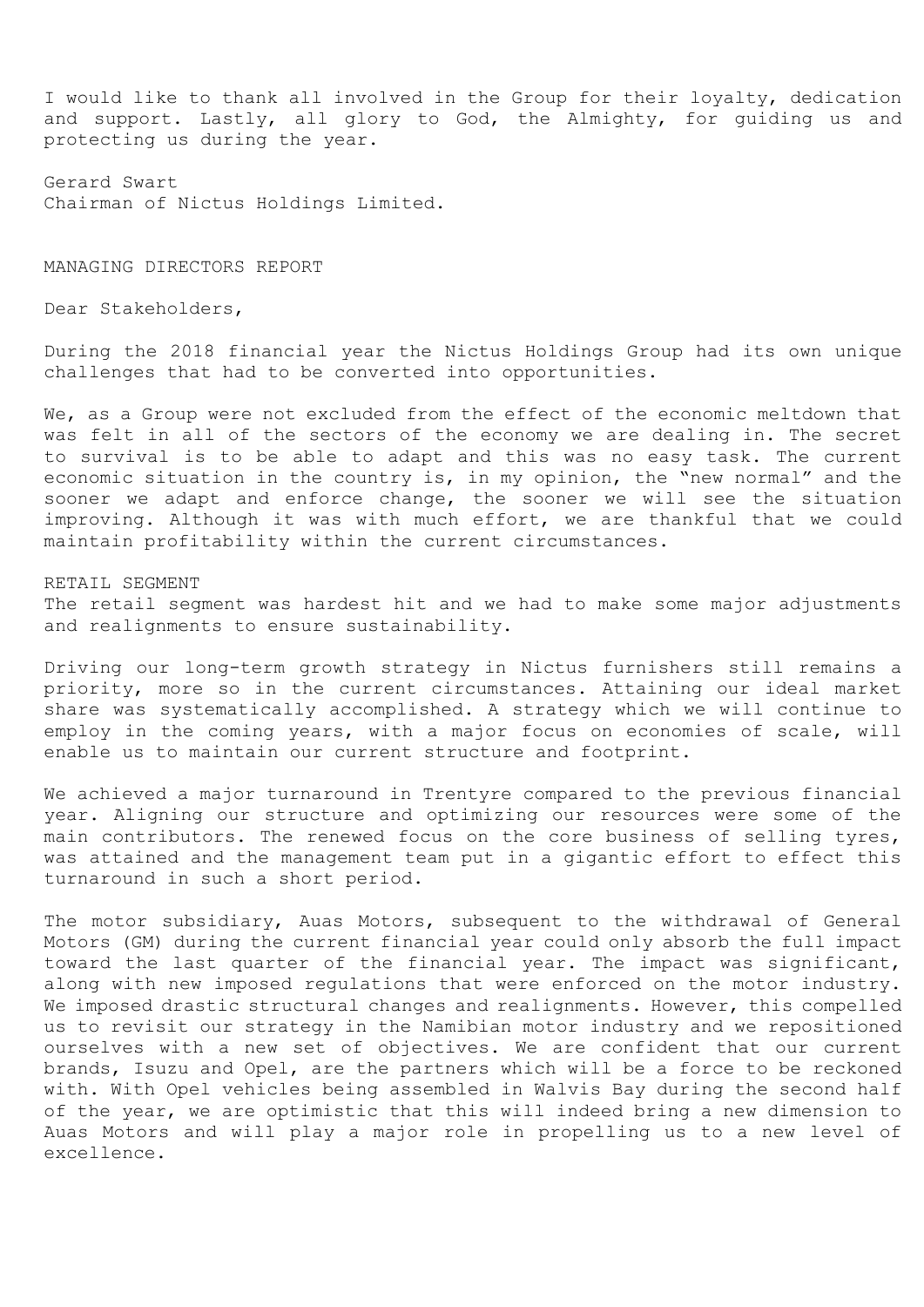I would like to thank all involved in the Group for their loyalty, dedication and support. Lastly, all glory to God, the Almighty, for guiding us and protecting us during the year.

Gerard Swart Chairman of Nictus Holdings Limited.

MANAGING DIRECTORS REPORT

Dear Stakeholders,

During the 2018 financial year the Nictus Holdings Group had its own unique challenges that had to be converted into opportunities.

We, as a Group were not excluded from the effect of the economic meltdown that was felt in all of the sectors of the economy we are dealing in. The secret to survival is to be able to adapt and this was no easy task. The current economic situation in the country is, in my opinion, the "new normal" and the sooner we adapt and enforce change, the sooner we will see the situation improving. Although it was with much effort, we are thankful that we could maintain profitability within the current circumstances.

#### RETAIL SEGMENT

The retail segment was hardest hit and we had to make some major adjustments and realignments to ensure sustainability.

Driving our long-term growth strategy in Nictus furnishers still remains a priority, more so in the current circumstances. Attaining our ideal market share was systematically accomplished. A strategy which we will continue to employ in the coming years, with a major focus on economies of scale, will enable us to maintain our current structure and footprint.

We achieved a major turnaround in Trentyre compared to the previous financial year. Aligning our structure and optimizing our resources were some of the main contributors. The renewed focus on the core business of selling tyres, was attained and the management team put in a gigantic effort to effect this turnaround in such a short period.

The motor subsidiary, Auas Motors, subsequent to the withdrawal of General Motors (GM) during the current financial year could only absorb the full impact toward the last quarter of the financial year. The impact was significant, along with new imposed regulations that were enforced on the motor industry. We imposed drastic structural changes and realignments. However, this compelled us to revisit our strategy in the Namibian motor industry and we repositioned ourselves with a new set of objectives. We are confident that our current brands, Isuzu and Opel, are the partners which will be a force to be reckoned with. With Opel vehicles being assembled in Walvis Bay during the second half of the year, we are optimistic that this will indeed bring a new dimension to Auas Motors and will play a major role in propelling us to a new level of excellence.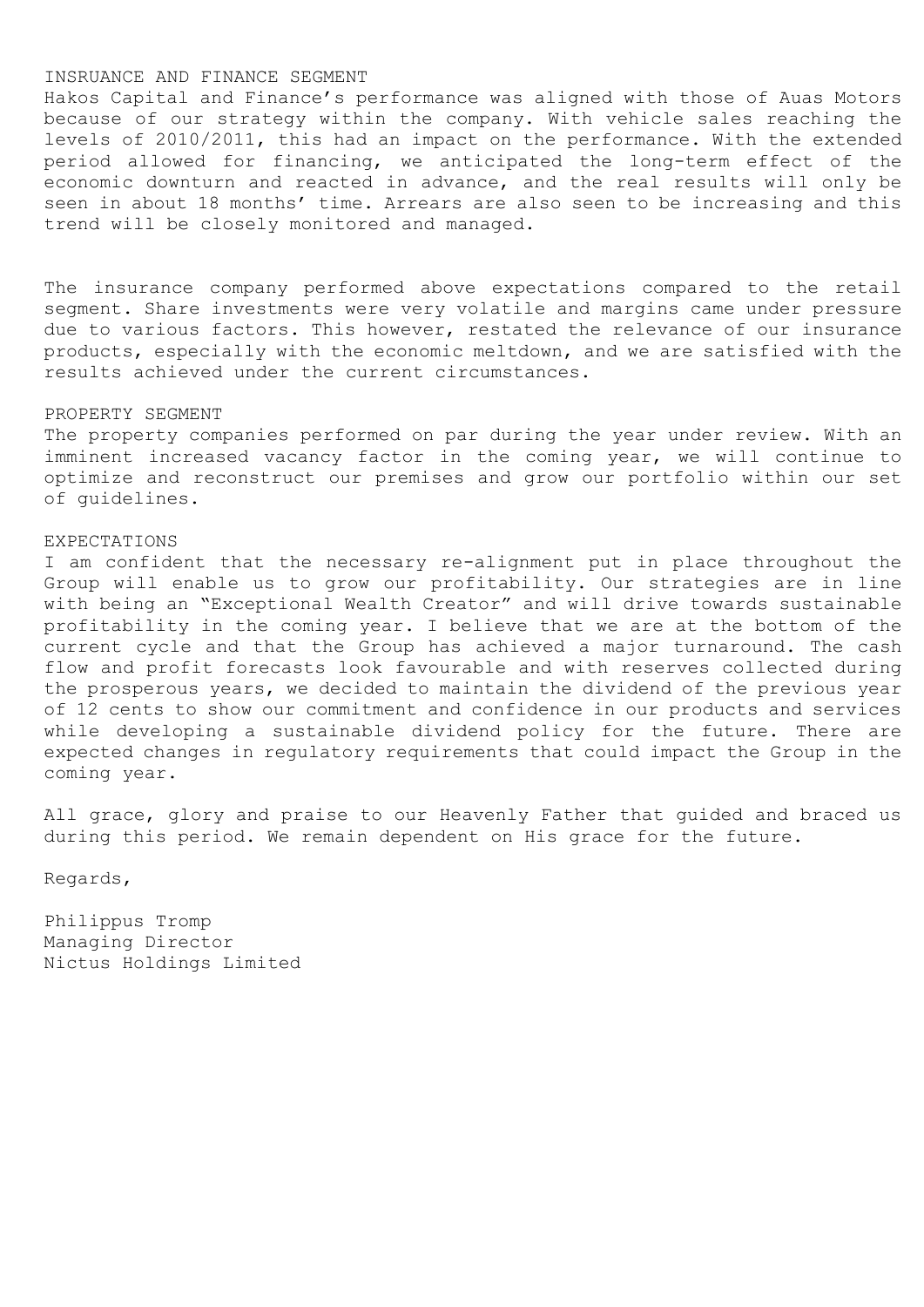## INSRUANCE AND FINANCE SEGMENT

Hakos Capital and Finance's performance was aligned with those of Auas Motors because of our strategy within the company. With vehicle sales reaching the levels of 2010/2011, this had an impact on the performance. With the extended period allowed for financing, we anticipated the long-term effect of the economic downturn and reacted in advance, and the real results will only be seen in about 18 months' time. Arrears are also seen to be increasing and this trend will be closely monitored and managed.

The insurance company performed above expectations compared to the retail segment. Share investments were very volatile and margins came under pressure due to various factors. This however, restated the relevance of our insurance products, especially with the economic meltdown, and we are satisfied with the results achieved under the current circumstances.

#### PROPERTY SEGMENT

The property companies performed on par during the year under review. With an imminent increased vacancy factor in the coming year, we will continue to optimize and reconstruct our premises and grow our portfolio within our set of guidelines.

## EXPECTATIONS

I am confident that the necessary re-alignment put in place throughout the Group will enable us to grow our profitability. Our strategies are in line with being an "Exceptional Wealth Creator" and will drive towards sustainable profitability in the coming year. I believe that we are at the bottom of the current cycle and that the Group has achieved a major turnaround. The cash flow and profit forecasts look favourable and with reserves collected during the prosperous years, we decided to maintain the dividend of the previous year of 12 cents to show our commitment and confidence in our products and services while developing a sustainable dividend policy for the future. There are expected changes in regulatory requirements that could impact the Group in the coming year.

All grace, glory and praise to our Heavenly Father that guided and braced us during this period. We remain dependent on His grace for the future.

Regards,

Philippus Tromp Managing Director Nictus Holdings Limited